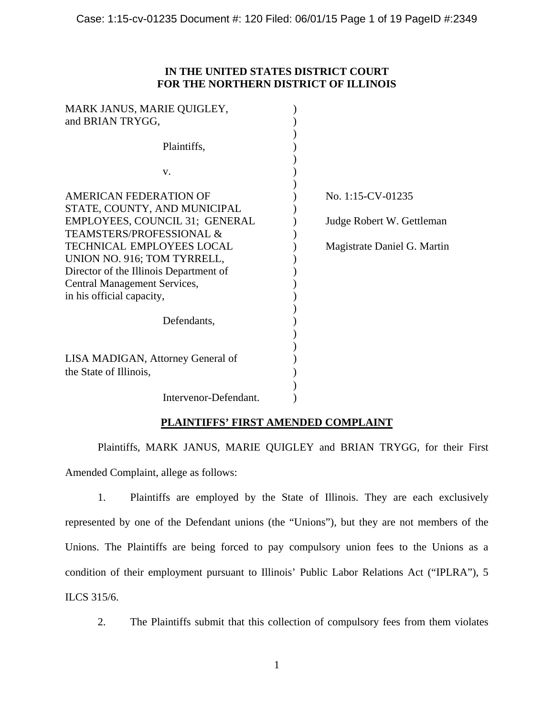## **IN THE UNITED STATES DISTRICT COURT FOR THE NORTHERN DISTRICT OF ILLINOIS**

| Plaintiffs,<br>V.<br>AMERICAN FEDERATION OF<br>No. 1:15-CV-01235<br>STATE, COUNTY, AND MUNICIPAL<br>EMPLOYEES, COUNCIL 31; GENERAL<br>Judge Robert W. Gettleman<br><b>TEAMSTERS/PROFESSIONAL &amp;</b><br>TECHNICAL EMPLOYEES LOCAL<br>Magistrate Daniel G. Martin<br>UNION NO. 916; TOM TYRRELL,<br>Director of the Illinois Department of<br>Central Management Services,<br>in his official capacity,<br>Defendants,<br>LISA MADIGAN, Attorney General of<br>the State of Illinois,<br>Intervenor-Defendant. | MARK JANUS, MARIE QUIGLEY,<br>and BRIAN TRYGG, |  |
|-----------------------------------------------------------------------------------------------------------------------------------------------------------------------------------------------------------------------------------------------------------------------------------------------------------------------------------------------------------------------------------------------------------------------------------------------------------------------------------------------------------------|------------------------------------------------|--|
|                                                                                                                                                                                                                                                                                                                                                                                                                                                                                                                 |                                                |  |
|                                                                                                                                                                                                                                                                                                                                                                                                                                                                                                                 |                                                |  |
|                                                                                                                                                                                                                                                                                                                                                                                                                                                                                                                 |                                                |  |
|                                                                                                                                                                                                                                                                                                                                                                                                                                                                                                                 |                                                |  |
|                                                                                                                                                                                                                                                                                                                                                                                                                                                                                                                 |                                                |  |
|                                                                                                                                                                                                                                                                                                                                                                                                                                                                                                                 |                                                |  |
|                                                                                                                                                                                                                                                                                                                                                                                                                                                                                                                 |                                                |  |
|                                                                                                                                                                                                                                                                                                                                                                                                                                                                                                                 |                                                |  |
|                                                                                                                                                                                                                                                                                                                                                                                                                                                                                                                 |                                                |  |
|                                                                                                                                                                                                                                                                                                                                                                                                                                                                                                                 |                                                |  |
|                                                                                                                                                                                                                                                                                                                                                                                                                                                                                                                 |                                                |  |

# **PLAINTIFFS' FIRST AMENDED COMPLAINT**

Plaintiffs, MARK JANUS, MARIE QUIGLEY and BRIAN TRYGG, for their First Amended Complaint, allege as follows:

1. Plaintiffs are employed by the State of Illinois. They are each exclusively represented by one of the Defendant unions (the "Unions"), but they are not members of the Unions. The Plaintiffs are being forced to pay compulsory union fees to the Unions as a condition of their employment pursuant to Illinois' Public Labor Relations Act ("IPLRA"), 5 ILCS 315/6.

2. The Plaintiffs submit that this collection of compulsory fees from them violates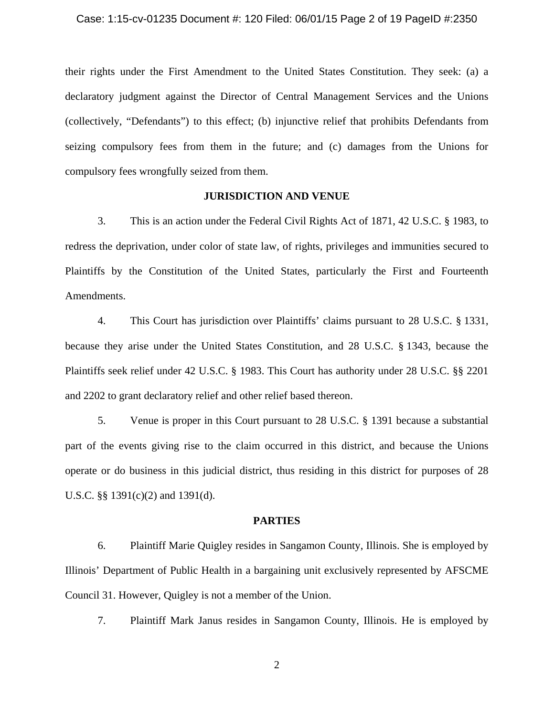their rights under the First Amendment to the United States Constitution. They seek: (a) a declaratory judgment against the Director of Central Management Services and the Unions (collectively, "Defendants") to this effect; (b) injunctive relief that prohibits Defendants from seizing compulsory fees from them in the future; and (c) damages from the Unions for compulsory fees wrongfully seized from them.

## **JURISDICTION AND VENUE**

3. This is an action under the Federal Civil Rights Act of 1871, 42 U.S.C. § 1983, to redress the deprivation, under color of state law, of rights, privileges and immunities secured to Plaintiffs by the Constitution of the United States, particularly the First and Fourteenth Amendments.

4. This Court has jurisdiction over Plaintiffs' claims pursuant to 28 U.S.C. § 1331, because they arise under the United States Constitution, and 28 U.S.C. § 1343, because the Plaintiffs seek relief under 42 U.S.C. § 1983. This Court has authority under 28 U.S.C. §§ 2201 and 2202 to grant declaratory relief and other relief based thereon.

5. Venue is proper in this Court pursuant to 28 U.S.C. § 1391 because a substantial part of the events giving rise to the claim occurred in this district, and because the Unions operate or do business in this judicial district, thus residing in this district for purposes of 28 U.S.C. §§ 1391(c)(2) and 1391(d).

#### **PARTIES**

6. Plaintiff Marie Quigley resides in Sangamon County, Illinois. She is employed by Illinois' Department of Public Health in a bargaining unit exclusively represented by AFSCME Council 31. However, Quigley is not a member of the Union.

7. Plaintiff Mark Janus resides in Sangamon County, Illinois. He is employed by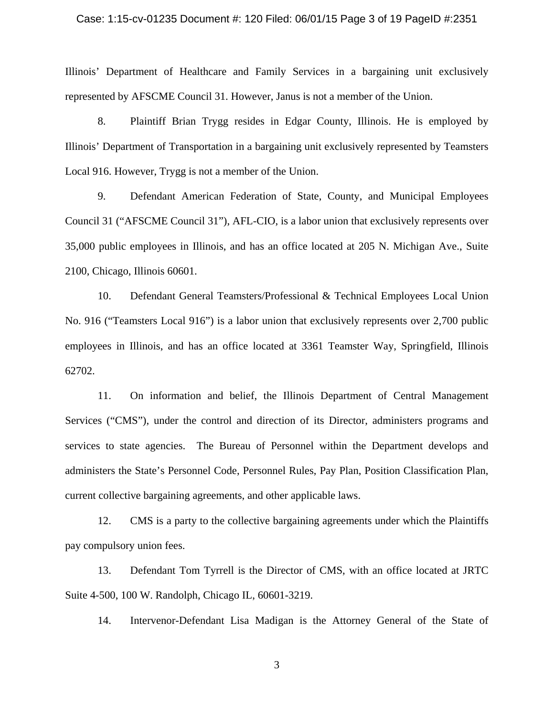#### Case: 1:15-cv-01235 Document #: 120 Filed: 06/01/15 Page 3 of 19 PageID #:2351

Illinois' Department of Healthcare and Family Services in a bargaining unit exclusively represented by AFSCME Council 31. However, Janus is not a member of the Union.

8. Plaintiff Brian Trygg resides in Edgar County, Illinois. He is employed by Illinois' Department of Transportation in a bargaining unit exclusively represented by Teamsters Local 916. However, Trygg is not a member of the Union.

9. Defendant American Federation of State, County, and Municipal Employees Council 31 ("AFSCME Council 31"), AFL-CIO, is a labor union that exclusively represents over 35,000 public employees in Illinois, and has an office located at 205 N. Michigan Ave., Suite 2100, Chicago, Illinois 60601.

10. Defendant General Teamsters/Professional & Technical Employees Local Union No. 916 ("Teamsters Local 916") is a labor union that exclusively represents over 2,700 public employees in Illinois, and has an office located at 3361 Teamster Way, Springfield, Illinois 62702.

11. On information and belief, the Illinois Department of Central Management Services ("CMS"), under the control and direction of its Director, administers programs and services to state agencies. The Bureau of Personnel within the Department develops and administers the State's Personnel Code, Personnel Rules, Pay Plan, Position Classification Plan, current collective bargaining agreements, and other applicable laws.

12. CMS is a party to the collective bargaining agreements under which the Plaintiffs pay compulsory union fees.

13. Defendant Tom Tyrrell is the Director of CMS, with an office located at JRTC Suite 4-500, 100 W. Randolph, Chicago IL, 60601-3219.

14. Intervenor-Defendant Lisa Madigan is the Attorney General of the State of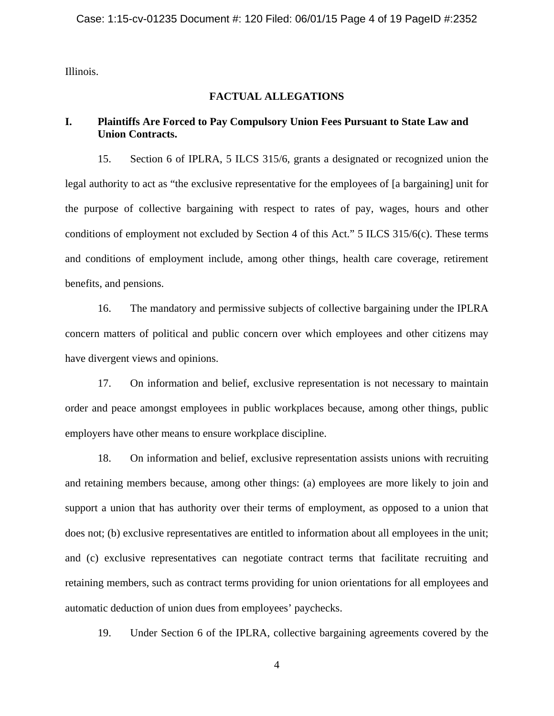Illinois.

# **FACTUAL ALLEGATIONS**

## **I. Plaintiffs Are Forced to Pay Compulsory Union Fees Pursuant to State Law and Union Contracts.**

15. Section 6 of IPLRA, 5 ILCS 315/6, grants a designated or recognized union the legal authority to act as "the exclusive representative for the employees of [a bargaining] unit for the purpose of collective bargaining with respect to rates of pay, wages, hours and other conditions of employment not excluded by Section 4 of this Act." 5 ILCS 315/6(c). These terms and conditions of employment include, among other things, health care coverage, retirement benefits, and pensions.

16. The mandatory and permissive subjects of collective bargaining under the IPLRA concern matters of political and public concern over which employees and other citizens may have divergent views and opinions.

17. On information and belief, exclusive representation is not necessary to maintain order and peace amongst employees in public workplaces because, among other things, public employers have other means to ensure workplace discipline.

18. On information and belief, exclusive representation assists unions with recruiting and retaining members because, among other things: (a) employees are more likely to join and support a union that has authority over their terms of employment, as opposed to a union that does not; (b) exclusive representatives are entitled to information about all employees in the unit; and (c) exclusive representatives can negotiate contract terms that facilitate recruiting and retaining members, such as contract terms providing for union orientations for all employees and automatic deduction of union dues from employees' paychecks.

19. Under Section 6 of the IPLRA, collective bargaining agreements covered by the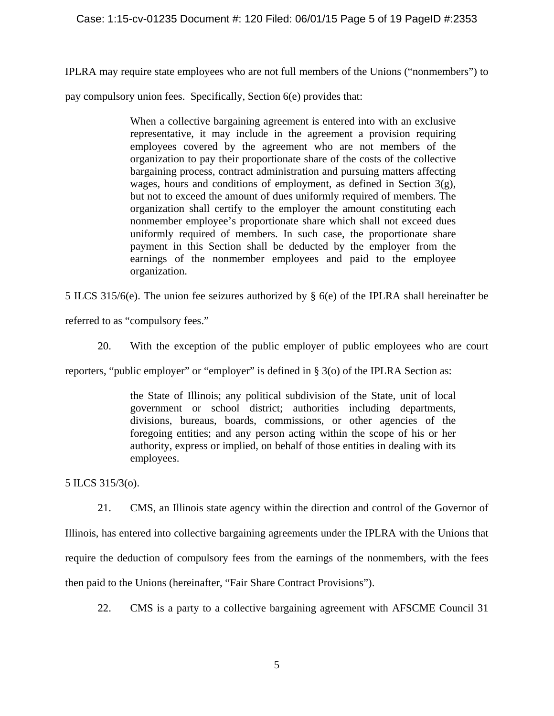## Case: 1:15-cv-01235 Document #: 120 Filed: 06/01/15 Page 5 of 19 PageID #:2353

IPLRA may require state employees who are not full members of the Unions ("nonmembers") to

pay compulsory union fees. Specifically, Section 6(e) provides that:

When a collective bargaining agreement is entered into with an exclusive representative, it may include in the agreement a provision requiring employees covered by the agreement who are not members of the organization to pay their proportionate share of the costs of the collective bargaining process, contract administration and pursuing matters affecting wages, hours and conditions of employment, as defined in Section  $3(g)$ , but not to exceed the amount of dues uniformly required of members. The organization shall certify to the employer the amount constituting each nonmember employee's proportionate share which shall not exceed dues uniformly required of members. In such case, the proportionate share payment in this Section shall be deducted by the employer from the earnings of the nonmember employees and paid to the employee organization.

5 ILCS 315/6(e). The union fee seizures authorized by § 6(e) of the IPLRA shall hereinafter be

referred to as "compulsory fees."

20. With the exception of the public employer of public employees who are court

reporters, "public employer" or "employer" is defined in § 3(o) of the IPLRA Section as:

the State of Illinois; any political subdivision of the State, unit of local government or school district; authorities including departments, divisions, bureaus, boards, commissions, or other agencies of the foregoing entities; and any person acting within the scope of his or her authority, express or implied, on behalf of those entities in dealing with its employees.

5 ILCS 315/3(o).

21. CMS, an Illinois state agency within the direction and control of the Governor of Illinois, has entered into collective bargaining agreements under the IPLRA with the Unions that require the deduction of compulsory fees from the earnings of the nonmembers, with the fees then paid to the Unions (hereinafter, "Fair Share Contract Provisions").

22. CMS is a party to a collective bargaining agreement with AFSCME Council 31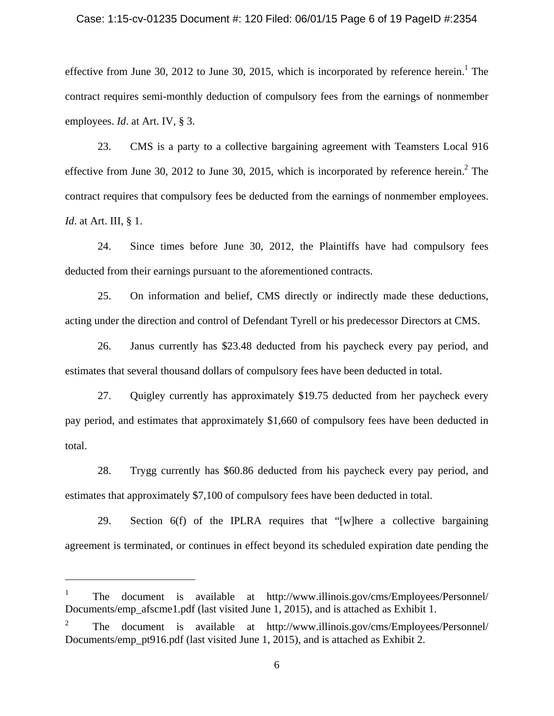### Case: 1:15-cv-01235 Document #: 120 Filed: 06/01/15 Page 6 of 19 PageID #:2354

effective from June 30, 2012 to June 30, 2015, which is incorporated by reference herein.<sup>1</sup> The contract requires semi-monthly deduction of compulsory fees from the earnings of nonmember employees. *Id*. at Art. IV, § 3.

23. CMS is a party to a collective bargaining agreement with Teamsters Local 916 effective from June 30, 2012 to June 30, 2015, which is incorporated by reference herein.<sup>2</sup> The contract requires that compulsory fees be deducted from the earnings of nonmember employees. *Id*. at Art. III, § 1.

24. Since times before June 30, 2012, the Plaintiffs have had compulsory fees deducted from their earnings pursuant to the aforementioned contracts.

25. On information and belief, CMS directly or indirectly made these deductions, acting under the direction and control of Defendant Tyrell or his predecessor Directors at CMS.

26. Janus currently has \$23.48 deducted from his paycheck every pay period, and estimates that several thousand dollars of compulsory fees have been deducted in total.

27. Quigley currently has approximately \$19.75 deducted from her paycheck every pay period, and estimates that approximately \$1,660 of compulsory fees have been deducted in total.

28. Trygg currently has \$60.86 deducted from his paycheck every pay period, and estimates that approximately \$7,100 of compulsory fees have been deducted in total.

29. Section 6(f) of the IPLRA requires that "[w]here a collective bargaining agreement is terminated, or continues in effect beyond its scheduled expiration date pending the

 $\overline{a}$ 

<sup>1</sup> The document is available at http://www.illinois.gov/cms/Employees/Personnel/ Documents/emp\_afscme1.pdf (last visited June 1, 2015), and is attached as Exhibit 1.

<sup>2</sup> The document is available at http://www.illinois.gov/cms/Employees/Personnel/ Documents/emp\_pt916.pdf (last visited June 1, 2015), and is attached as Exhibit 2.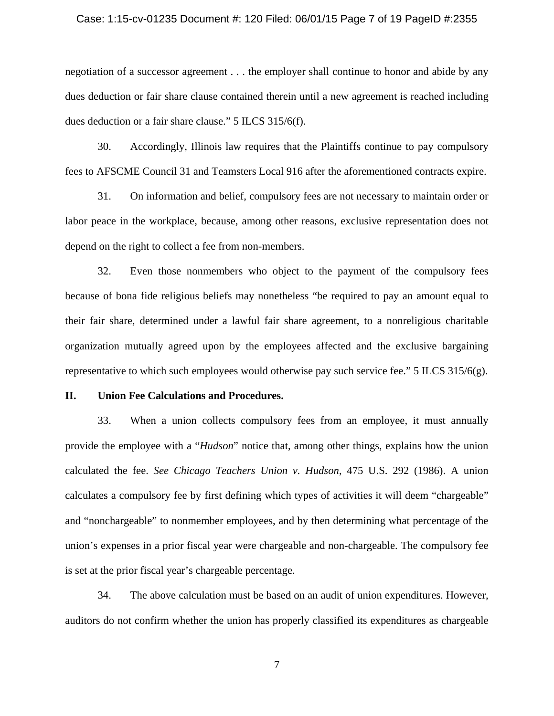#### Case: 1:15-cv-01235 Document #: 120 Filed: 06/01/15 Page 7 of 19 PageID #:2355

negotiation of a successor agreement . . . the employer shall continue to honor and abide by any dues deduction or fair share clause contained therein until a new agreement is reached including dues deduction or a fair share clause." 5 ILCS 315/6(f).

30. Accordingly, Illinois law requires that the Plaintiffs continue to pay compulsory fees to AFSCME Council 31 and Teamsters Local 916 after the aforementioned contracts expire.

31. On information and belief, compulsory fees are not necessary to maintain order or labor peace in the workplace, because, among other reasons, exclusive representation does not depend on the right to collect a fee from non-members.

32. Even those nonmembers who object to the payment of the compulsory fees because of bona fide religious beliefs may nonetheless "be required to pay an amount equal to their fair share, determined under a lawful fair share agreement, to a nonreligious charitable organization mutually agreed upon by the employees affected and the exclusive bargaining representative to which such employees would otherwise pay such service fee." 5 ILCS 315/6(g).

### **II. Union Fee Calculations and Procedures.**

33. When a union collects compulsory fees from an employee, it must annually provide the employee with a "*Hudson*" notice that, among other things, explains how the union calculated the fee. *See Chicago Teachers Union v. Hudson*, 475 U.S. 292 (1986). A union calculates a compulsory fee by first defining which types of activities it will deem "chargeable" and "nonchargeable" to nonmember employees, and by then determining what percentage of the union's expenses in a prior fiscal year were chargeable and non-chargeable. The compulsory fee is set at the prior fiscal year's chargeable percentage.

34. The above calculation must be based on an audit of union expenditures. However, auditors do not confirm whether the union has properly classified its expenditures as chargeable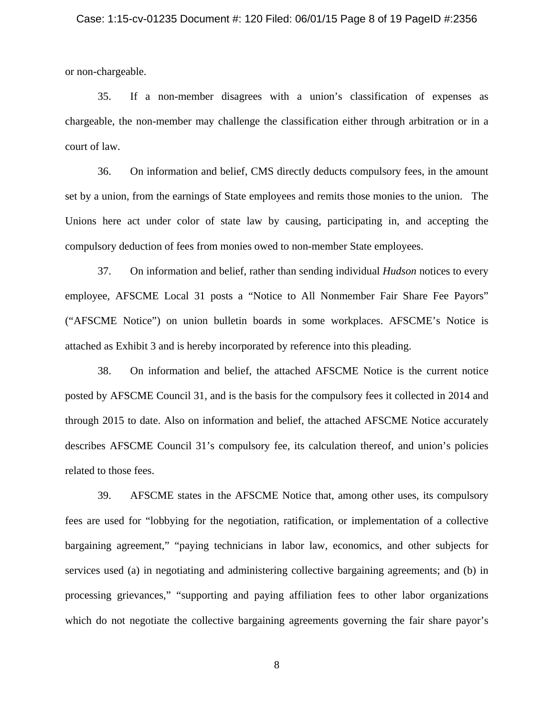#### Case: 1:15-cv-01235 Document #: 120 Filed: 06/01/15 Page 8 of 19 PageID #:2356

or non-chargeable.

35. If a non-member disagrees with a union's classification of expenses as chargeable, the non-member may challenge the classification either through arbitration or in a court of law.

36. On information and belief, CMS directly deducts compulsory fees, in the amount set by a union, from the earnings of State employees and remits those monies to the union. The Unions here act under color of state law by causing, participating in, and accepting the compulsory deduction of fees from monies owed to non-member State employees.

37. On information and belief, rather than sending individual *Hudson* notices to every employee, AFSCME Local 31 posts a "Notice to All Nonmember Fair Share Fee Payors" ("AFSCME Notice") on union bulletin boards in some workplaces. AFSCME's Notice is attached as Exhibit 3 and is hereby incorporated by reference into this pleading.

38. On information and belief, the attached AFSCME Notice is the current notice posted by AFSCME Council 31, and is the basis for the compulsory fees it collected in 2014 and through 2015 to date. Also on information and belief, the attached AFSCME Notice accurately describes AFSCME Council 31's compulsory fee, its calculation thereof, and union's policies related to those fees.

39. AFSCME states in the AFSCME Notice that, among other uses, its compulsory fees are used for "lobbying for the negotiation, ratification, or implementation of a collective bargaining agreement," "paying technicians in labor law, economics, and other subjects for services used (a) in negotiating and administering collective bargaining agreements; and (b) in processing grievances," "supporting and paying affiliation fees to other labor organizations which do not negotiate the collective bargaining agreements governing the fair share payor's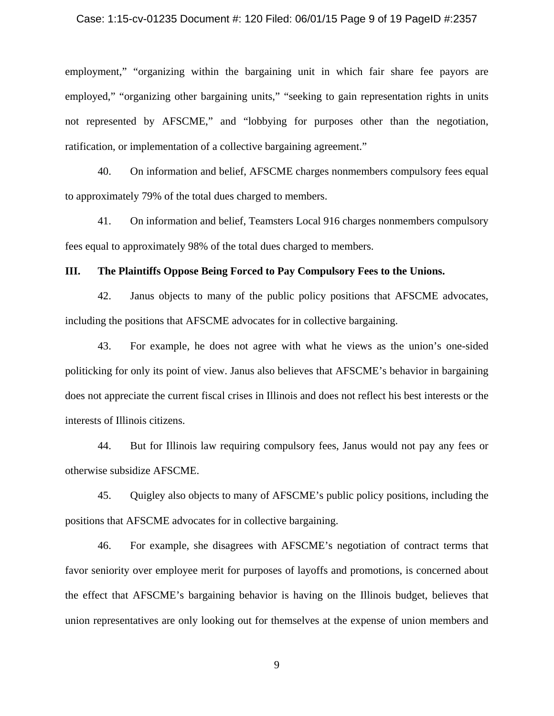#### Case: 1:15-cv-01235 Document #: 120 Filed: 06/01/15 Page 9 of 19 PageID #:2357

employment," "organizing within the bargaining unit in which fair share fee payors are employed," "organizing other bargaining units," "seeking to gain representation rights in units not represented by AFSCME," and "lobbying for purposes other than the negotiation, ratification, or implementation of a collective bargaining agreement."

40. On information and belief, AFSCME charges nonmembers compulsory fees equal to approximately 79% of the total dues charged to members.

41. On information and belief, Teamsters Local 916 charges nonmembers compulsory fees equal to approximately 98% of the total dues charged to members.

### **III. The Plaintiffs Oppose Being Forced to Pay Compulsory Fees to the Unions.**

42. Janus objects to many of the public policy positions that AFSCME advocates, including the positions that AFSCME advocates for in collective bargaining.

43. For example, he does not agree with what he views as the union's one-sided politicking for only its point of view. Janus also believes that AFSCME's behavior in bargaining does not appreciate the current fiscal crises in Illinois and does not reflect his best interests or the interests of Illinois citizens.

44. But for Illinois law requiring compulsory fees, Janus would not pay any fees or otherwise subsidize AFSCME.

45. Quigley also objects to many of AFSCME's public policy positions, including the positions that AFSCME advocates for in collective bargaining.

46. For example, she disagrees with AFSCME's negotiation of contract terms that favor seniority over employee merit for purposes of layoffs and promotions, is concerned about the effect that AFSCME's bargaining behavior is having on the Illinois budget, believes that union representatives are only looking out for themselves at the expense of union members and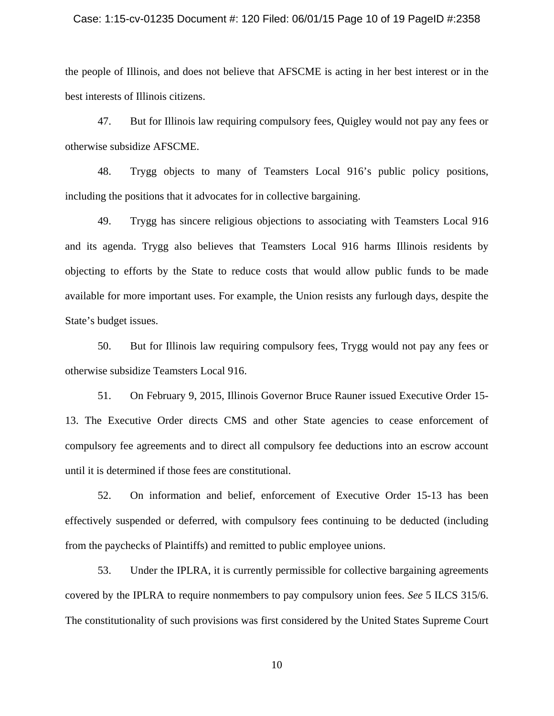#### Case: 1:15-cv-01235 Document #: 120 Filed: 06/01/15 Page 10 of 19 PageID #:2358

the people of Illinois, and does not believe that AFSCME is acting in her best interest or in the best interests of Illinois citizens.

47. But for Illinois law requiring compulsory fees, Quigley would not pay any fees or otherwise subsidize AFSCME.

48. Trygg objects to many of Teamsters Local 916's public policy positions, including the positions that it advocates for in collective bargaining.

49. Trygg has sincere religious objections to associating with Teamsters Local 916 and its agenda. Trygg also believes that Teamsters Local 916 harms Illinois residents by objecting to efforts by the State to reduce costs that would allow public funds to be made available for more important uses. For example, the Union resists any furlough days, despite the State's budget issues.

50. But for Illinois law requiring compulsory fees, Trygg would not pay any fees or otherwise subsidize Teamsters Local 916.

51. On February 9, 2015, Illinois Governor Bruce Rauner issued Executive Order 15- 13. The Executive Order directs CMS and other State agencies to cease enforcement of compulsory fee agreements and to direct all compulsory fee deductions into an escrow account until it is determined if those fees are constitutional.

52. On information and belief, enforcement of Executive Order 15-13 has been effectively suspended or deferred, with compulsory fees continuing to be deducted (including from the paychecks of Plaintiffs) and remitted to public employee unions.

53. Under the IPLRA, it is currently permissible for collective bargaining agreements covered by the IPLRA to require nonmembers to pay compulsory union fees. *See* 5 ILCS 315/6. The constitutionality of such provisions was first considered by the United States Supreme Court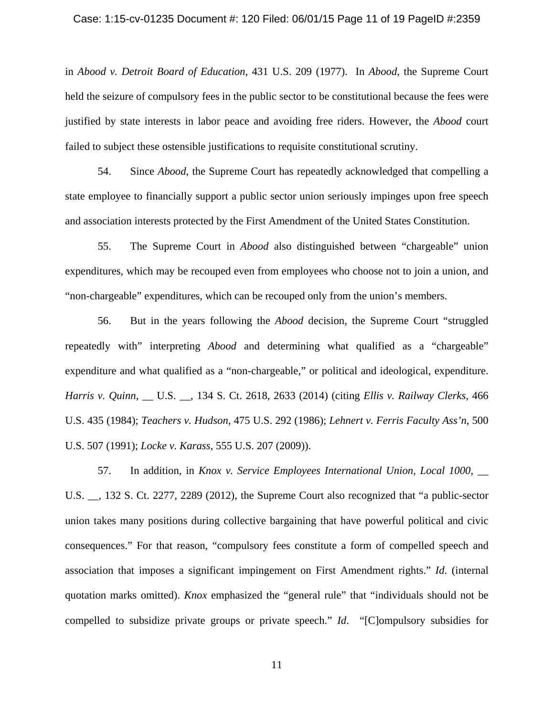#### Case: 1:15-cv-01235 Document #: 120 Filed: 06/01/15 Page 11 of 19 PageID #:2359

in *Abood v. Detroit Board of Education*, 431 U.S. 209 (1977). In *Abood*, the Supreme Court held the seizure of compulsory fees in the public sector to be constitutional because the fees were justified by state interests in labor peace and avoiding free riders. However, the *Abood* court failed to subject these ostensible justifications to requisite constitutional scrutiny.

54. Since *Abood*, the Supreme Court has repeatedly acknowledged that compelling a state employee to financially support a public sector union seriously impinges upon free speech and association interests protected by the First Amendment of the United States Constitution.

55. The Supreme Court in *Abood* also distinguished between "chargeable" union expenditures, which may be recouped even from employees who choose not to join a union, and "non-chargeable" expenditures, which can be recouped only from the union's members.

56. But in the years following the *Abood* decision, the Supreme Court "struggled repeatedly with" interpreting *Abood* and determining what qualified as a "chargeable" expenditure and what qualified as a "non-chargeable," or political and ideological, expenditure. *Harris v. Quinn*, \_\_ U.S. \_\_, 134 S. Ct. 2618, 2633 (2014) (citing *Ellis v. Railway Clerks*, 466 U.S. 435 (1984); *Teachers v. Hudson*, 475 U.S. 292 (1986); *Lehnert v. Ferris Faculty Ass'n*, 500 U.S. 507 (1991); *Locke v. Karass*, 555 U.S. 207 (2009)).

57. In addition, in *Knox v. Service Employees International Union, Local 1000*, \_\_ U.S. \_\_, 132 S. Ct. 2277, 2289 (2012), the Supreme Court also recognized that "a public-sector union takes many positions during collective bargaining that have powerful political and civic consequences." For that reason, "compulsory fees constitute a form of compelled speech and association that imposes a significant impingement on First Amendment rights." *Id*. (internal quotation marks omitted). *Knox* emphasized the "general rule" that "individuals should not be compelled to subsidize private groups or private speech." *Id*. "[C]ompulsory subsidies for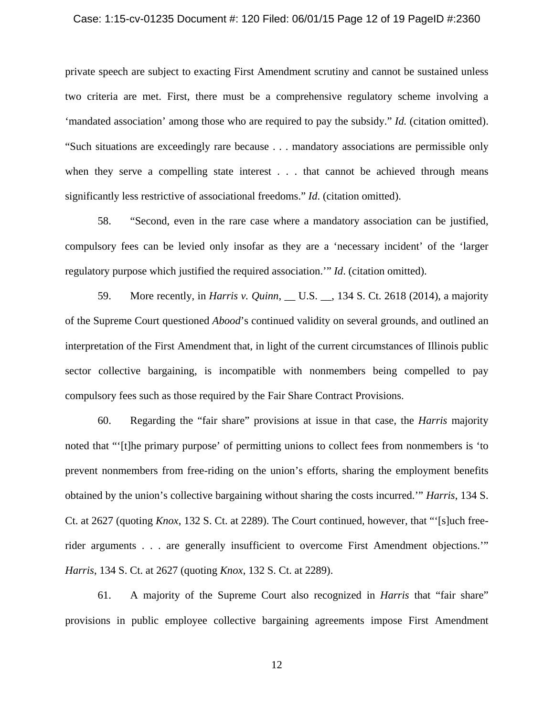#### Case: 1:15-cv-01235 Document #: 120 Filed: 06/01/15 Page 12 of 19 PageID #:2360

private speech are subject to exacting First Amendment scrutiny and cannot be sustained unless two criteria are met. First, there must be a comprehensive regulatory scheme involving a 'mandated association' among those who are required to pay the subsidy." *Id.* (citation omitted). "Such situations are exceedingly rare because . . . mandatory associations are permissible only when they serve a compelling state interest . . . that cannot be achieved through means significantly less restrictive of associational freedoms." *Id*. (citation omitted).

58. "Second, even in the rare case where a mandatory association can be justified, compulsory fees can be levied only insofar as they are a 'necessary incident' of the 'larger regulatory purpose which justified the required association.'" *Id*. (citation omitted).

59. More recently, in *Harris v. Quinn*, \_\_ U.S. \_\_, 134 S. Ct. 2618 (2014), a majority of the Supreme Court questioned *Abood*'s continued validity on several grounds, and outlined an interpretation of the First Amendment that, in light of the current circumstances of Illinois public sector collective bargaining, is incompatible with nonmembers being compelled to pay compulsory fees such as those required by the Fair Share Contract Provisions.

60. Regarding the "fair share" provisions at issue in that case, the *Harris* majority noted that "'[t]he primary purpose' of permitting unions to collect fees from nonmembers is 'to prevent nonmembers from free-riding on the union's efforts, sharing the employment benefits obtained by the union's collective bargaining without sharing the costs incurred.'" *Harris*, 134 S. Ct. at 2627 (quoting *Knox*, 132 S. Ct. at 2289). The Court continued, however, that "'[s]uch freerider arguments . . . are generally insufficient to overcome First Amendment objections.'" *Harris*, 134 S. Ct. at 2627 (quoting *Knox*, 132 S. Ct. at 2289).

61. A majority of the Supreme Court also recognized in *Harris* that "fair share" provisions in public employee collective bargaining agreements impose First Amendment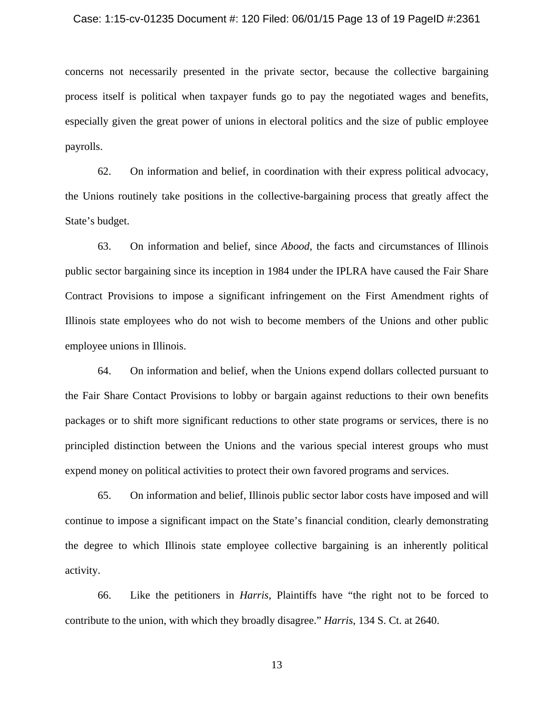#### Case: 1:15-cv-01235 Document #: 120 Filed: 06/01/15 Page 13 of 19 PageID #:2361

concerns not necessarily presented in the private sector, because the collective bargaining process itself is political when taxpayer funds go to pay the negotiated wages and benefits, especially given the great power of unions in electoral politics and the size of public employee payrolls.

62. On information and belief, in coordination with their express political advocacy, the Unions routinely take positions in the collective-bargaining process that greatly affect the State's budget.

63. On information and belief, since *Abood*, the facts and circumstances of Illinois public sector bargaining since its inception in 1984 under the IPLRA have caused the Fair Share Contract Provisions to impose a significant infringement on the First Amendment rights of Illinois state employees who do not wish to become members of the Unions and other public employee unions in Illinois.

64. On information and belief, when the Unions expend dollars collected pursuant to the Fair Share Contact Provisions to lobby or bargain against reductions to their own benefits packages or to shift more significant reductions to other state programs or services, there is no principled distinction between the Unions and the various special interest groups who must expend money on political activities to protect their own favored programs and services.

65. On information and belief, Illinois public sector labor costs have imposed and will continue to impose a significant impact on the State's financial condition, clearly demonstrating the degree to which Illinois state employee collective bargaining is an inherently political activity.

66. Like the petitioners in *Harris*, Plaintiffs have "the right not to be forced to contribute to the union, with which they broadly disagree." *Harris*, 134 S. Ct. at 2640.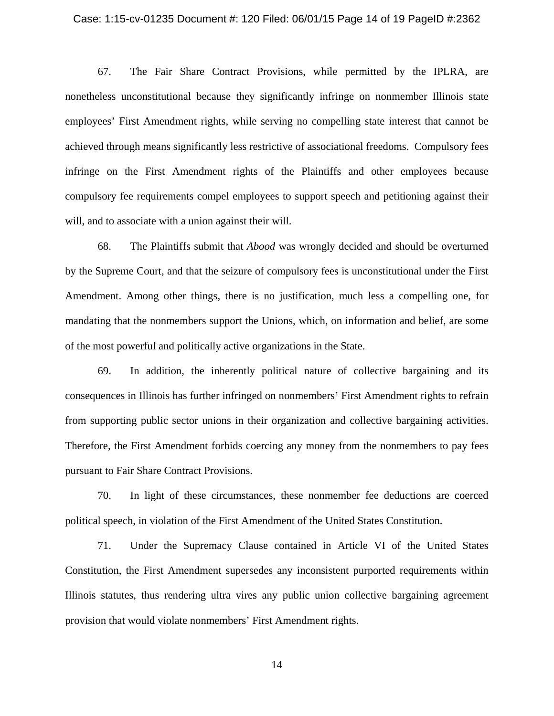#### Case: 1:15-cv-01235 Document #: 120 Filed: 06/01/15 Page 14 of 19 PageID #:2362

67. The Fair Share Contract Provisions, while permitted by the IPLRA, are nonetheless unconstitutional because they significantly infringe on nonmember Illinois state employees' First Amendment rights, while serving no compelling state interest that cannot be achieved through means significantly less restrictive of associational freedoms. Compulsory fees infringe on the First Amendment rights of the Plaintiffs and other employees because compulsory fee requirements compel employees to support speech and petitioning against their will, and to associate with a union against their will.

68. The Plaintiffs submit that *Abood* was wrongly decided and should be overturned by the Supreme Court, and that the seizure of compulsory fees is unconstitutional under the First Amendment. Among other things, there is no justification, much less a compelling one, for mandating that the nonmembers support the Unions, which, on information and belief, are some of the most powerful and politically active organizations in the State.

69. In addition, the inherently political nature of collective bargaining and its consequences in Illinois has further infringed on nonmembers' First Amendment rights to refrain from supporting public sector unions in their organization and collective bargaining activities. Therefore, the First Amendment forbids coercing any money from the nonmembers to pay fees pursuant to Fair Share Contract Provisions.

70. In light of these circumstances, these nonmember fee deductions are coerced political speech, in violation of the First Amendment of the United States Constitution.

71. Under the Supremacy Clause contained in Article VI of the United States Constitution, the First Amendment supersedes any inconsistent purported requirements within Illinois statutes, thus rendering ultra vires any public union collective bargaining agreement provision that would violate nonmembers' First Amendment rights.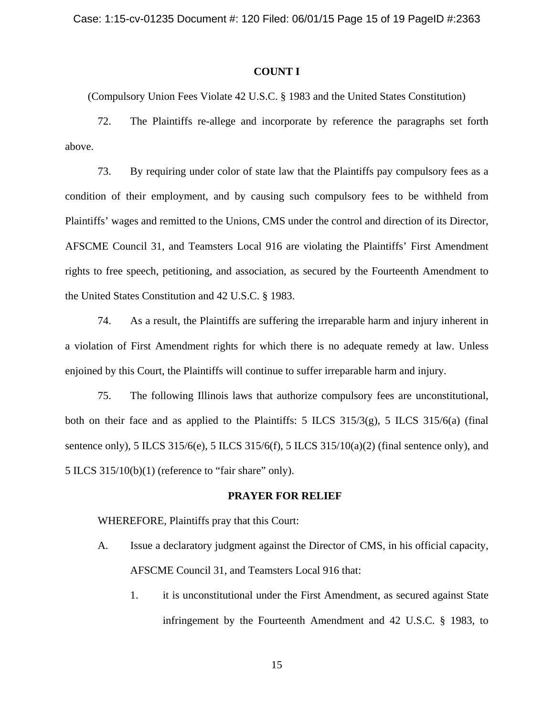### **COUNT I**

(Compulsory Union Fees Violate 42 U.S.C. § 1983 and the United States Constitution)

72. The Plaintiffs re-allege and incorporate by reference the paragraphs set forth above.

73. By requiring under color of state law that the Plaintiffs pay compulsory fees as a condition of their employment, and by causing such compulsory fees to be withheld from Plaintiffs' wages and remitted to the Unions, CMS under the control and direction of its Director, AFSCME Council 31, and Teamsters Local 916 are violating the Plaintiffs' First Amendment rights to free speech, petitioning, and association, as secured by the Fourteenth Amendment to the United States Constitution and 42 U.S.C. § 1983.

74. As a result, the Plaintiffs are suffering the irreparable harm and injury inherent in a violation of First Amendment rights for which there is no adequate remedy at law. Unless enjoined by this Court, the Plaintiffs will continue to suffer irreparable harm and injury.

75. The following Illinois laws that authorize compulsory fees are unconstitutional, both on their face and as applied to the Plaintiffs: 5 ILCS 315/3(g), 5 ILCS 315/6(a) (final sentence only), 5 ILCS 315/6(e), 5 ILCS 315/6(f), 5 ILCS 315/10(a)(2) (final sentence only), and 5 ILCS 315/10(b)(1) (reference to "fair share" only).

### **PRAYER FOR RELIEF**

WHEREFORE, Plaintiffs pray that this Court:

- A. Issue a declaratory judgment against the Director of CMS, in his official capacity, AFSCME Council 31, and Teamsters Local 916 that:
	- 1. it is unconstitutional under the First Amendment, as secured against State infringement by the Fourteenth Amendment and 42 U.S.C. § 1983, to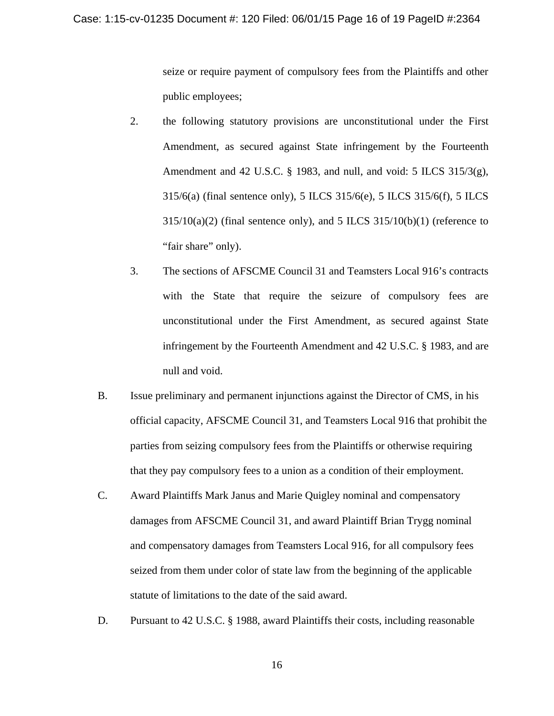seize or require payment of compulsory fees from the Plaintiffs and other public employees;

- 2. the following statutory provisions are unconstitutional under the First Amendment, as secured against State infringement by the Fourteenth Amendment and 42 U.S.C. § 1983, and null, and void: 5 ILCS 315/3(g), 315/6(a) (final sentence only), 5 ILCS 315/6(e), 5 ILCS 315/6(f), 5 ILCS  $315/10(a)(2)$  (final sentence only), and 5 ILCS  $315/10(b)(1)$  (reference to "fair share" only).
- 3. The sections of AFSCME Council 31 and Teamsters Local 916's contracts with the State that require the seizure of compulsory fees are unconstitutional under the First Amendment, as secured against State infringement by the Fourteenth Amendment and 42 U.S.C. § 1983, and are null and void.
- B. Issue preliminary and permanent injunctions against the Director of CMS, in his official capacity, AFSCME Council 31, and Teamsters Local 916 that prohibit the parties from seizing compulsory fees from the Plaintiffs or otherwise requiring that they pay compulsory fees to a union as a condition of their employment.
- C. Award Plaintiffs Mark Janus and Marie Quigley nominal and compensatory damages from AFSCME Council 31, and award Plaintiff Brian Trygg nominal and compensatory damages from Teamsters Local 916, for all compulsory fees seized from them under color of state law from the beginning of the applicable statute of limitations to the date of the said award.
- D. Pursuant to 42 U.S.C. § 1988, award Plaintiffs their costs, including reasonable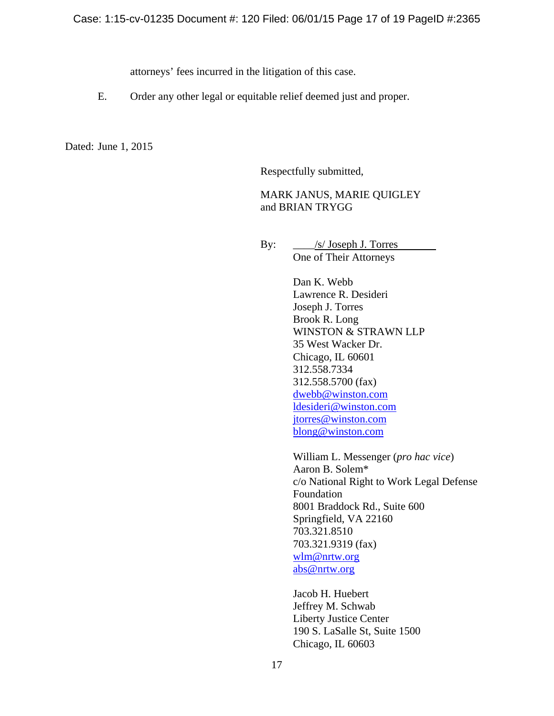attorneys' fees incurred in the litigation of this case.

E. Order any other legal or equitable relief deemed just and proper.

Dated: June 1, 2015

Respectfully submitted,

## MARK JANUS, MARIE QUIGLEY and BRIAN TRYGG

 By: \_\_\_\_/s/ Joseph J. Torres One of Their Attorneys

> Dan K. Webb Lawrence R. Desideri Joseph J. Torres Brook R. Long WINSTON & STRAWN LLP 35 West Wacker Dr. Chicago, IL 60601 312.558.7334 312.558.5700 (fax) dwebb@winston.com ldesideri@winston.com jtorres@winston.com blong@winston.com

William L. Messenger (*pro hac vice*) Aaron B. Solem\* c/o National Right to Work Legal Defense Foundation 8001 Braddock Rd., Suite 600 Springfield, VA 22160 703.321.8510 703.321.9319 (fax) wlm@nrtw.org abs@nrtw.org

Jacob H. Huebert Jeffrey M. Schwab Liberty Justice Center 190 S. LaSalle St, Suite 1500 Chicago, IL 60603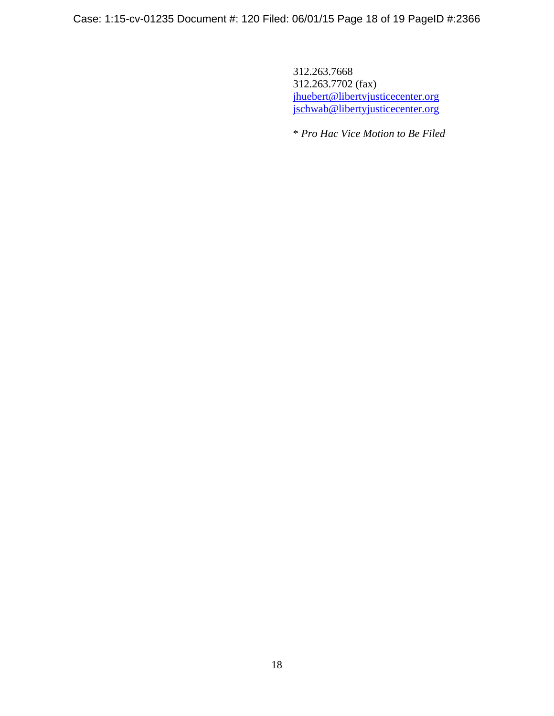Case: 1:15-cv-01235 Document #: 120 Filed: 06/01/15 Page 18 of 19 PageID #:2366

312.263.7668 312.263.7702 (fax) jhuebert@libertyjusticecenter.org jschwab@libertyjusticecenter.org

\* *Pro Hac Vice Motion to Be Filed*